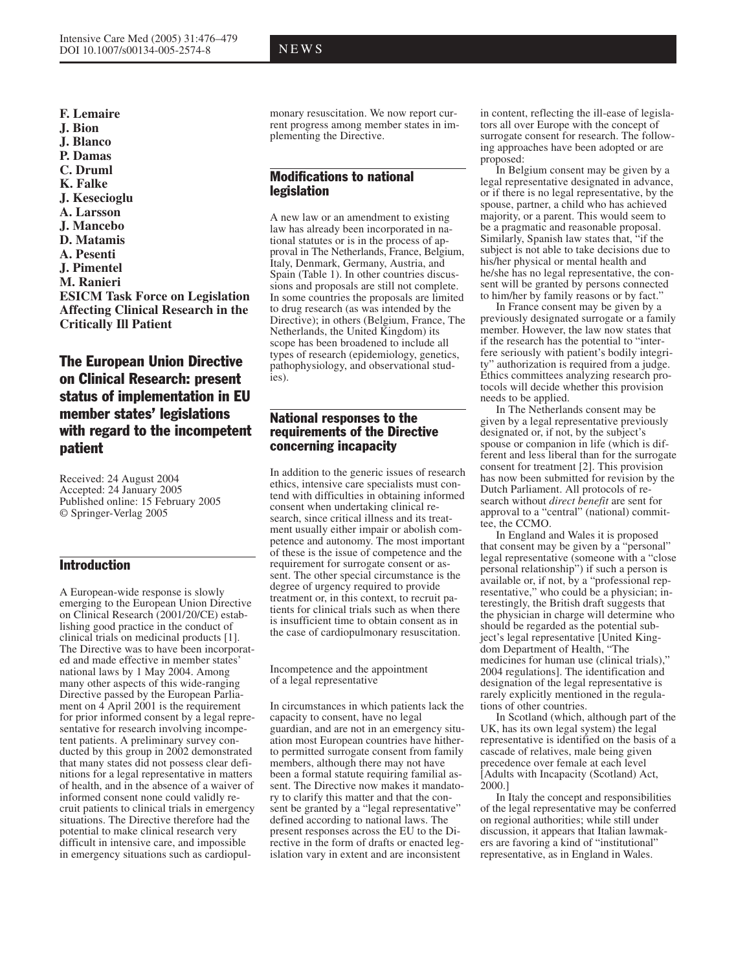- **F. Lemaire**
- **J. Bion**
- **J. Blanco**
- **P. Damas**
- **C. Druml**
- **K. Falke**
- **J. Kesecioglu**
- **A. Larsson**
- **J. Mancebo**
- 
- **D. Matamis**
- **A. Pesenti**
- **J. Pimentel**
- **M. Ranieri**

**ESICM Task Force on Legislation Affecting Clinical Research in the Critically Ill Patient**

# The European Union Directive on Clinical Research: present status of implementation in EU member states' legislations with regard to the incompetent patient

Received: 24 August 2004 Accepted: 24 January 2005 Published online: 15 February 2005 © Springer-Verlag 2005

## Introduction

A European-wide response is slowly emerging to the European Union Directive on Clinical Research (2001/20/CE) establishing good practice in the conduct of clinical trials on medicinal products [1]. The Directive was to have been incorporated and made effective in member states' national laws by 1 May 2004. Among many other aspects of this wide-ranging Directive passed by the European Parliament on 4 April 2001 is the requirement for prior informed consent by a legal representative for research involving incompetent patients. A preliminary survey conducted by this group in 2002 demonstrated that many states did not possess clear definitions for a legal representative in matters of health, and in the absence of a waiver of informed consent none could validly recruit patients to clinical trials in emergency situations. The Directive therefore had the potential to make clinical research very difficult in intensive care, and impossible in emergency situations such as cardiopul-

monary resuscitation. We now report current progress among member states in implementing the Directive.

## Modifications to national legislation

A new law or an amendment to existing law has already been incorporated in national statutes or is in the process of approval in The Netherlands, France, Belgium, Italy, Denmark, Germany, Austria, and Spain (Table 1). In other countries discussions and proposals are still not complete. In some countries the proposals are limited to drug research (as was intended by the Directive); in others (Belgium, France, The Netherlands, the United Kingdom) its scope has been broadened to include all types of research (epidemiology, genetics, pathophysiology, and observational studies).

## National responses to the requirements of the Directive concerning incapacity

In addition to the generic issues of research ethics, intensive care specialists must contend with difficulties in obtaining informed consent when undertaking clinical research, since critical illness and its treatment usually either impair or abolish competence and autonomy. The most important of these is the issue of competence and the requirement for surrogate consent or assent. The other special circumstance is the degree of urgency required to provide treatment or, in this context, to recruit patients for clinical trials such as when there is insufficient time to obtain consent as in the case of cardiopulmonary resuscitation.

### Incompetence and the appointment of a legal representative

In circumstances in which patients lack the capacity to consent, have no legal guardian, and are not in an emergency situation most European countries have hitherto permitted surrogate consent from family members, although there may not have been a formal statute requiring familial assent. The Directive now makes it mandatory to clarify this matter and that the consent be granted by a "legal representative" defined according to national laws. The present responses across the EU to the Directive in the form of drafts or enacted legislation vary in extent and are inconsistent

in content, reflecting the ill-ease of legislators all over Europe with the concept of surrogate consent for research. The following approaches have been adopted or are proposed:

In Belgium consent may be given by a legal representative designated in advance, or if there is no legal representative, by the spouse, partner, a child who has achieved majority, or a parent. This would seem to be a pragmatic and reasonable proposal. Similarly, Spanish law states that, "if the subject is not able to take decisions due to his/her physical or mental health and he/she has no legal representative, the consent will be granted by persons connected to him/her by family reasons or by fact."

In France consent may be given by a previously designated surrogate or a family member. However, the law now states that if the research has the potential to "interfere seriously with patient's bodily integrity" authorization is required from a judge. Ethics committees analyzing research protocols will decide whether this provision needs to be applied.

In The Netherlands consent may be given by a legal representative previously designated or, if not, by the subject's spouse or companion in life (which is different and less liberal than for the surrogate consent for treatment [2]. This provision has now been submitted for revision by the Dutch Parliament. All protocols of research without *direct benefit* are sent for approval to a "central" (national) committee, the CCMO.

In England and Wales it is proposed that consent may be given by a "personal" legal representative (someone with a "close personal relationship") if such a person is available or, if not, by a "professional representative," who could be a physician; interestingly, the British draft suggests that the physician in charge will determine who should be regarded as the potential subject's legal representative [United Kingdom Department of Health, "The medicines for human use (clinical trials)," 2004 regulations]. The identification and designation of the legal representative is rarely explicitly mentioned in the regulations of other countries.

In Scotland (which, although part of the UK, has its own legal system) the legal representative is identified on the basis of a cascade of relatives, male being given precedence over female at each level [Adults with Incapacity (Scotland) Act, 2000.]

In Italy the concept and responsibilities of the legal representative may be conferred on regional authorities; while still under discussion, it appears that Italian lawmakers are favoring a kind of "institutional" representative, as in England in Wales.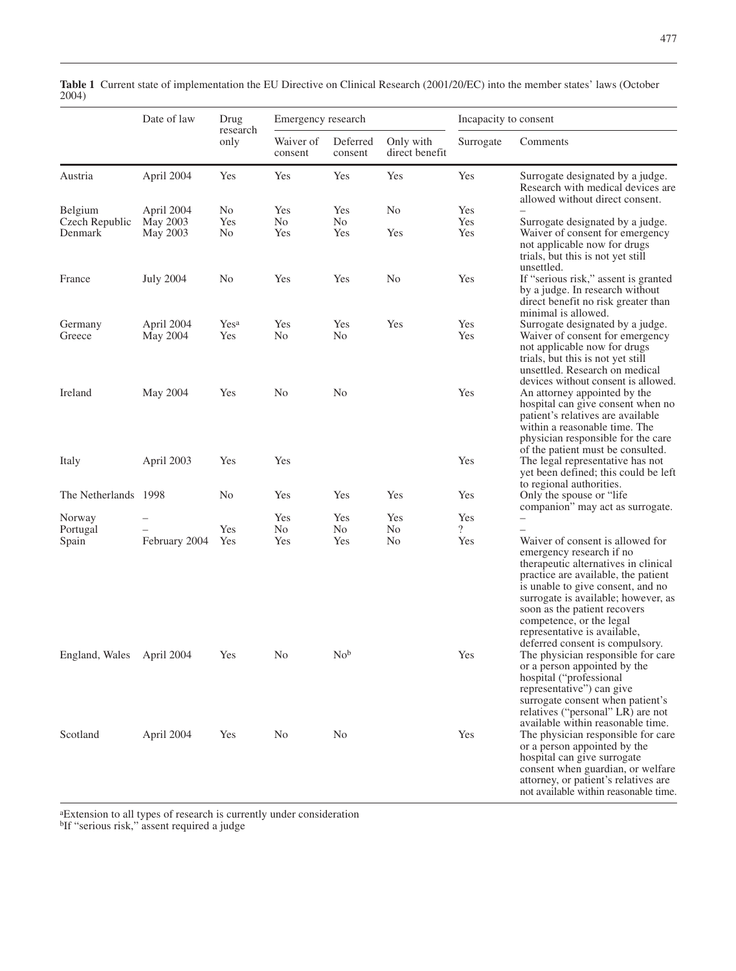|                           | Date of law      | Drug<br>research<br>only | Emergency research   |                     |                             | Incapacity to consent |                                                                                                                                                                                                                                                                                                                                                        |
|---------------------------|------------------|--------------------------|----------------------|---------------------|-----------------------------|-----------------------|--------------------------------------------------------------------------------------------------------------------------------------------------------------------------------------------------------------------------------------------------------------------------------------------------------------------------------------------------------|
|                           |                  |                          | Waiver of<br>consent | Deferred<br>consent | Only with<br>direct benefit | Surrogate             | Comments                                                                                                                                                                                                                                                                                                                                               |
| Austria                   | April 2004       | Yes                      | Yes                  | Yes                 | Yes                         | Yes                   | Surrogate designated by a judge.<br>Research with medical devices are.<br>allowed without direct consent.                                                                                                                                                                                                                                              |
| Belgium                   | April 2004       | No                       | Yes                  | Yes                 | N <sub>0</sub>              | Yes                   |                                                                                                                                                                                                                                                                                                                                                        |
| Czech Republic            | May 2003         | Yes                      | N <sub>0</sub>       | No                  |                             | Yes                   | Surrogate designated by a judge.                                                                                                                                                                                                                                                                                                                       |
| Denmark                   | May 2003         | N <sub>o</sub>           | Yes                  | Yes                 | Yes                         | Yes                   | Waiver of consent for emergency<br>not applicable now for drugs<br>trials, but this is not yet still<br>unsettled.                                                                                                                                                                                                                                     |
| France                    | <b>July 2004</b> | No                       | Yes                  | Yes                 | No                          | Yes                   | If "serious risk," assent is granted<br>by a judge. In research without<br>direct benefit no risk greater than<br>minimal is allowed.                                                                                                                                                                                                                  |
| Germany                   | April 2004       | Yes <sup>a</sup>         | <b>Yes</b>           | Yes                 | Yes                         | Yes                   | Surrogate designated by a judge.                                                                                                                                                                                                                                                                                                                       |
| Greece                    | May 2004         | Yes                      | N <sub>0</sub>       | No                  |                             | Yes                   | Waiver of consent for emergency<br>not applicable now for drugs<br>trials, but this is not yet still<br>unsettled. Research on medical<br>devices without consent is allowed.                                                                                                                                                                          |
| Ireland                   | May 2004         | Yes                      | No                   | No                  |                             | Yes                   | An attorney appointed by the<br>hospital can give consent when no<br>patient's relatives are available<br>within a reasonable time. The<br>physician responsible for the care                                                                                                                                                                          |
| Italy                     | April 2003       | Yes                      | Yes                  |                     |                             | Yes                   | of the patient must be consulted.<br>The legal representative has not<br>yet been defined; this could be left<br>to regional authorities.                                                                                                                                                                                                              |
| The Netherlands 1998      |                  | No                       | Yes                  | Yes                 | Yes                         | Yes                   | Only the spouse or "life"<br>companion" may act as surrogate.                                                                                                                                                                                                                                                                                          |
| Norway                    |                  |                          | Yes                  | Yes                 | Yes                         | Yes                   |                                                                                                                                                                                                                                                                                                                                                        |
| Portugal                  |                  | Yes                      | N <sub>o</sub>       | No                  | N <sub>0</sub>              | $\overline{?}$        |                                                                                                                                                                                                                                                                                                                                                        |
| Spain                     | February 2004    | Yes                      | Yes                  | Yes                 | No                          | Yes                   | Waiver of consent is allowed for<br>emergency research if no<br>therapeutic alternatives in clinical<br>practice are available, the patient<br>is unable to give consent, and no<br>surrogate is available; however, as<br>soon as the patient recovers<br>competence, or the legal<br>representative is available,<br>deferred consent is compulsory. |
| England, Wales April 2004 |                  | Yes                      | No                   | Nob                 |                             | Yes                   | The physician responsible for care<br>or a person appointed by the<br>hospital ("professional<br>representative") can give<br>surrogate consent when patient's<br>relatives ("personal" LR) are not<br>available within reasonable time.                                                                                                               |
| Scotland                  | April 2004       | Yes                      | N <sub>0</sub>       | No                  |                             | Yes                   | The physician responsible for care<br>or a person appointed by the<br>hospital can give surrogate<br>consent when guardian, or welfare<br>attorney, or patient's relatives are<br>not available within reasonable time.                                                                                                                                |

**Table 1** Current state of implementation the EU Directive on Clinical Research (2001/20/EC) into the member states' laws (October 2004)

aExtension to all types of research is currently under consideration bIf "serious risk," assent required a judge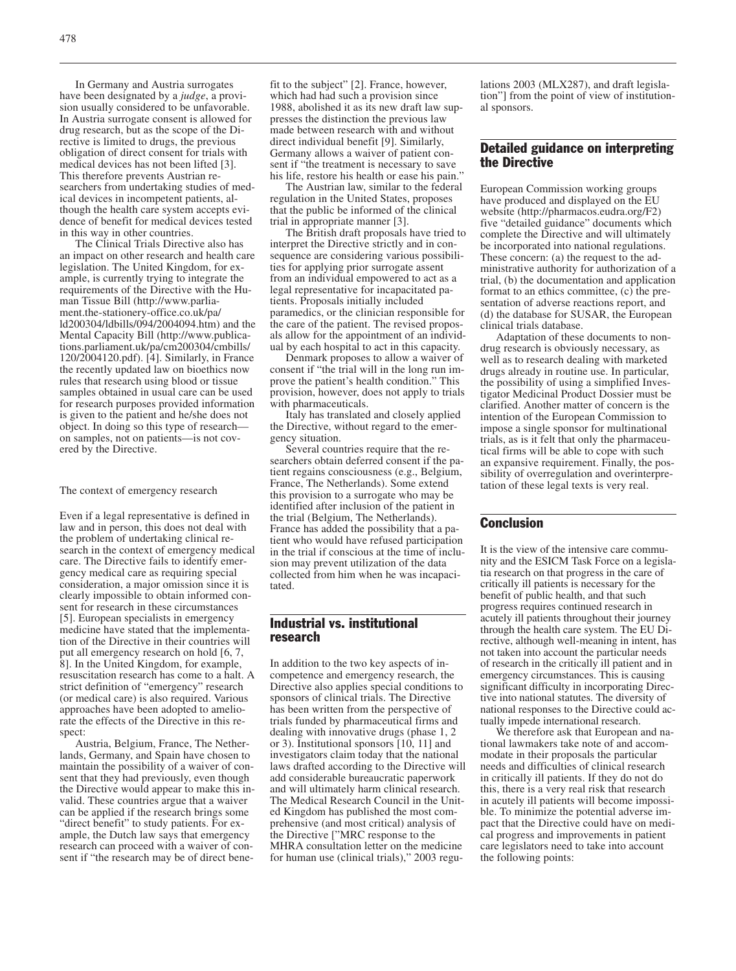In Germany and Austria surrogates have been designated by a *judge*, a provision usually considered to be unfavorable. In Austria surrogate consent is allowed for drug research, but as the scope of the Directive is limited to drugs, the previous obligation of direct consent for trials with medical devices has not been lifted [3]. This therefore prevents Austrian researchers from undertaking studies of medical devices in incompetent patients, although the health care system accepts evidence of benefit for medical devices tested in this way in other countries.

The Clinical Trials Directive also has an impact on other research and health care legislation. The United Kingdom, for example, is currently trying to integrate the requirements of the Directive with the Human Tissue Bill (http://www.parliament.the-stationery-office.co.uk/pa/ ld200304/ldbills/094/2004094.htm) and the Mental Capacity Bill (http://www.publications.parliament.uk/pa/cm200304/cmbills/ 120/2004120.pdf). [4]. Similarly, in France the recently updated law on bioethics now rules that research using blood or tissue samples obtained in usual care can be used for research purposes provided information is given to the patient and he/she does not object. In doing so this type of research on samples, not on patients—is not covered by the Directive.

#### The context of emergency research

Even if a legal representative is defined in law and in person, this does not deal with the problem of undertaking clinical research in the context of emergency medical care. The Directive fails to identify emergency medical care as requiring special consideration, a major omission since it is clearly impossible to obtain informed consent for research in these circumstances [5]. European specialists in emergency medicine have stated that the implementation of the Directive in their countries will put all emergency research on hold [6, 7, 8]. In the United Kingdom, for example, resuscitation research has come to a halt. A strict definition of "emergency" research (or medical care) is also required. Various approaches have been adopted to ameliorate the effects of the Directive in this respect:

Austria, Belgium, France, The Netherlands, Germany, and Spain have chosen to maintain the possibility of a waiver of consent that they had previously, even though the Directive would appear to make this invalid. These countries argue that a waiver can be applied if the research brings some "direct benefit" to study patients. For example, the Dutch law says that emergency research can proceed with a waiver of consent if "the research may be of direct bene-

fit to the subject" [2]. France, however, which had had such a provision since 1988, abolished it as its new draft law suppresses the distinction the previous law made between research with and without direct individual benefit [9]. Similarly, Germany allows a waiver of patient consent if "the treatment is necessary to save his life, restore his health or ease his pain."

The Austrian law, similar to the federal regulation in the United States, proposes that the public be informed of the clinical trial in appropriate manner [3].

The British draft proposals have tried to interpret the Directive strictly and in consequence are considering various possibilities for applying prior surrogate assent from an individual empowered to act as a legal representative for incapacitated patients. Proposals initially included paramedics, or the clinician responsible for the care of the patient. The revised proposals allow for the appointment of an individual by each hospital to act in this capacity.

Denmark proposes to allow a waiver of consent if "the trial will in the long run improve the patient's health condition." This provision, however, does not apply to trials with pharmaceuticals.

Italy has translated and closely applied the Directive, without regard to the emergency situation.

Several countries require that the researchers obtain deferred consent if the patient regains consciousness (e.g., Belgium, France, The Netherlands). Some extend this provision to a surrogate who may be identified after inclusion of the patient in the trial (Belgium, The Netherlands). France has added the possibility that a patient who would have refused participation in the trial if conscious at the time of inclusion may prevent utilization of the data collected from him when he was incapacitated.

## Industrial vs. institutional research

In addition to the two key aspects of incompetence and emergency research, the Directive also applies special conditions to sponsors of clinical trials. The Directive has been written from the perspective of trials funded by pharmaceutical firms and dealing with innovative drugs (phase 1, 2 or 3). Institutional sponsors [10, 11] and investigators claim today that the national laws drafted according to the Directive will add considerable bureaucratic paperwork and will ultimately harm clinical research. The Medical Research Council in the United Kingdom has published the most comprehensive (and most critical) analysis of the Directive ["MRC response to the MHRA consultation letter on the medicine for human use (clinical trials)," 2003 regulations 2003 (MLX287), and draft legislation"] from the point of view of institutional sponsors.

### Detailed guidance on interpreting the Directive

European Commission working groups have produced and displayed on the EU website (http://pharmacos.eudra.org/F2) five "detailed guidance" documents which complete the Directive and will ultimately be incorporated into national regulations. These concern: (a) the request to the administrative authority for authorization of a trial, (b) the documentation and application format to an ethics committee,  $(c)$  the presentation of adverse reactions report, and (d) the database for SUSAR, the European clinical trials database.

Adaptation of these documents to nondrug research is obviously necessary, as well as to research dealing with marketed drugs already in routine use. In particular, the possibility of using a simplified Investigator Medicinal Product Dossier must be clarified. Another matter of concern is the intention of the European Commission to impose a single sponsor for multinational trials, as is it felt that only the pharmaceutical firms will be able to cope with such an expansive requirement. Finally, the possibility of overregulation and overinterpretation of these legal texts is very real.

### **Conclusion**

It is the view of the intensive care community and the ESICM Task Force on a legislatia research on that progress in the care of critically ill patients is necessary for the benefit of public health, and that such progress requires continued research in acutely ill patients throughout their journey through the health care system. The EU Directive, although well-meaning in intent, has not taken into account the particular needs of research in the critically ill patient and in emergency circumstances. This is causing significant difficulty in incorporating Directive into national statutes. The diversity of national responses to the Directive could actually impede international research.

We therefore ask that European and national lawmakers take note of and accommodate in their proposals the particular needs and difficulties of clinical research in critically ill patients. If they do not do this, there is a very real risk that research in acutely ill patients will become impossible. To minimize the potential adverse impact that the Directive could have on medical progress and improvements in patient care legislators need to take into account the following points: